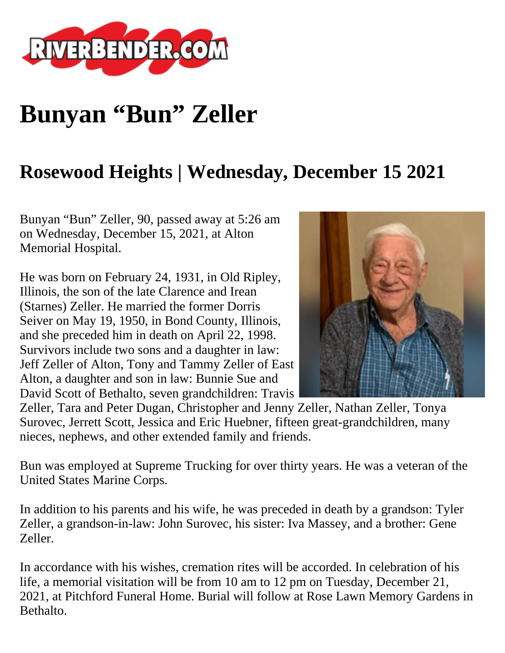

## **Bunyan "Bun" Zeller**

## **Rosewood Heights | Wednesday, December 15 2021**

Bunyan "Bun" Zeller, 90, passed away at 5:26 am on Wednesday, December 15, 2021, at Alton Memorial Hospital.

He was born on February 24, 1931, in Old Ripley, Illinois, the son of the late Clarence and Irean (Starnes) Zeller. He married the former Dorris Seiver on May 19, 1950, in Bond County, Illinois, and she preceded him in death on April 22, 1998. Survivors include two sons and a daughter in law: Jeff Zeller of Alton, Tony and Tammy Zeller of East Alton, a daughter and son in law: Bunnie Sue and David Scott of Bethalto, seven grandchildren: Travis



Zeller, Tara and Peter Dugan, Christopher and Jenny Zeller, Nathan Zeller, Tonya Surovec, Jerrett Scott, Jessica and Eric Huebner, fifteen great-grandchildren, many nieces, nephews, and other extended family and friends.

Bun was employed at Supreme Trucking for over thirty years. He was a veteran of the United States Marine Corps.

In addition to his parents and his wife, he was preceded in death by a grandson: Tyler Zeller, a grandson-in-law: John Surovec, his sister: Iva Massey, and a brother: Gene Zeller.

In accordance with his wishes, cremation rites will be accorded. In celebration of his life, a memorial visitation will be from 10 am to 12 pm on Tuesday, December 21, 2021, at Pitchford Funeral Home. Burial will follow at Rose Lawn Memory Gardens in Bethalto.